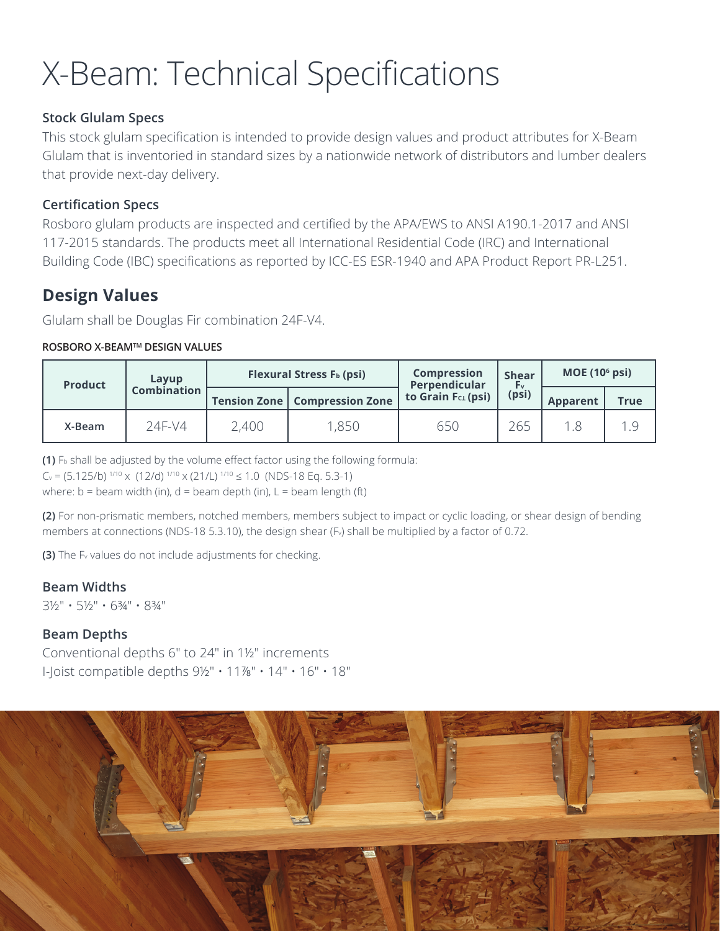# X-Beam: Technical Specifications

#### **Stock Glulam Specs**

This stock glulam specifcation is intended to provide design values and product attributes for X-Beam Glulam that is inventoried in standard sizes by a nationwide network of distributors and lumber dealers that provide next-day delivery.

### **Certification Specs**

Rosboro glulam products are inspected and certifed by the APA/EWS to ANSI A190.1-2017 and ANSI 117-2015 standards. The products meet all International Residential Code (IRC) and International Building Code (IBC) specifcations as reported by ICC-ES ESR-1940 and APA Product Report PR-L251.

## **Design Values**

Glulam shall be Douglas Fir combination 24F-V4.

#### **ROSBORO X-BEAMTM DESIGN VALUES**

| <b>Product</b> | Layup<br><b>Combination</b> |       | Flexural Stress F <sub>b</sub> (psi)   | <b>Compression</b><br>Perpendicular | <b>Shear</b><br>ŀ۷<br>(psi) | MOE $(106 psi)$ |             |
|----------------|-----------------------------|-------|----------------------------------------|-------------------------------------|-----------------------------|-----------------|-------------|
|                |                             |       | <b>Tension Zone   Compression Zone</b> | to Grain $Fc_1(psi)$                |                             | <b>Apparent</b> | <b>True</b> |
| X-Beam         | 24F-V4                      | 2,400 | ,850                                   | 650                                 | 265                         |                 | 1 Q         |

**(1)** Fb shall be adjusted by the volume efect factor using the following formula:

 $C_v = (5.125/b)^{1/10} \times (12/d)^{1/10} \times (21/L)^{1/10} \le 1.0$  (NDS-18 Eq. 5.3-1)

where:  $b =$  beam width (in),  $d =$  beam depth (in),  $L =$  beam length (ft)

**(2)** For non-prismatic members, notched members, members subject to impact or cyclic loading, or shear design of bending members at connections (NDS-18 5.3.10), the design shear (F<sub>v</sub>) shall be multiplied by a factor of 0.72.

**(3)** The Fv values do not include adjustments for checking.

#### **Beam Widths**

3½" • 5½" • 6¾" • 8¾"

#### **Beam Depths**

Conventional depths 6" to 24" in 1½" increments I-Joist compatible depths 9½" • 11⅞" • 14" • 16" • 18"